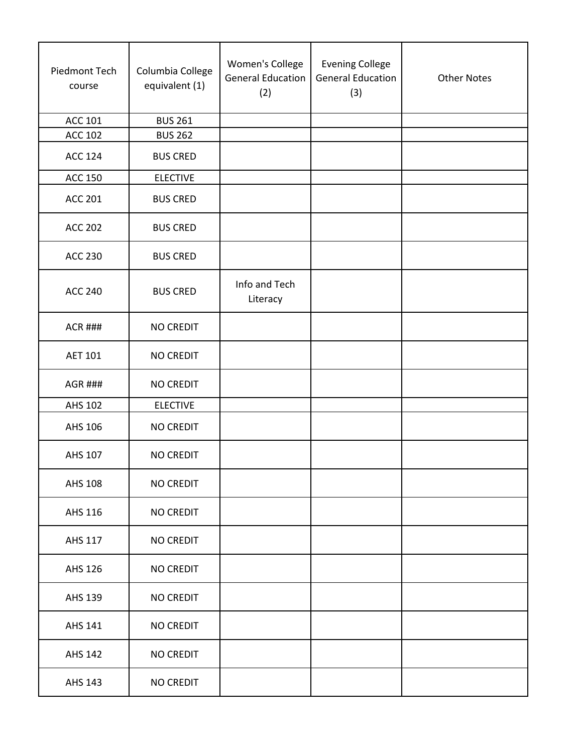| Piedmont Tech<br>course | Columbia College<br>equivalent (1) | Women's College<br><b>General Education</b><br>(2) | <b>Evening College</b><br><b>General Education</b><br>(3) | <b>Other Notes</b> |
|-------------------------|------------------------------------|----------------------------------------------------|-----------------------------------------------------------|--------------------|
| <b>ACC 101</b>          | <b>BUS 261</b>                     |                                                    |                                                           |                    |
| <b>ACC 102</b>          | <b>BUS 262</b>                     |                                                    |                                                           |                    |
| <b>ACC 124</b>          | <b>BUS CRED</b>                    |                                                    |                                                           |                    |
| <b>ACC 150</b>          | <b>ELECTIVE</b>                    |                                                    |                                                           |                    |
| <b>ACC 201</b>          | <b>BUS CRED</b>                    |                                                    |                                                           |                    |
| <b>ACC 202</b>          | <b>BUS CRED</b>                    |                                                    |                                                           |                    |
| <b>ACC 230</b>          | <b>BUS CRED</b>                    |                                                    |                                                           |                    |
| <b>ACC 240</b>          | <b>BUS CRED</b>                    | Info and Tech<br>Literacy                          |                                                           |                    |
| <b>ACR ###</b>          | <b>NO CREDIT</b>                   |                                                    |                                                           |                    |
| <b>AET 101</b>          | NO CREDIT                          |                                                    |                                                           |                    |
| <b>AGR ###</b>          | <b>NO CREDIT</b>                   |                                                    |                                                           |                    |
| AHS 102                 | <b>ELECTIVE</b>                    |                                                    |                                                           |                    |
| AHS 106                 | <b>NO CREDIT</b>                   |                                                    |                                                           |                    |
| AHS 107                 | <b>NO CREDIT</b>                   |                                                    |                                                           |                    |
| <b>AHS 108</b>          | <b>NO CREDIT</b>                   |                                                    |                                                           |                    |
| AHS 116                 | <b>NO CREDIT</b>                   |                                                    |                                                           |                    |
| AHS 117                 | <b>NO CREDIT</b>                   |                                                    |                                                           |                    |
| AHS 126                 | <b>NO CREDIT</b>                   |                                                    |                                                           |                    |
| AHS 139                 | <b>NO CREDIT</b>                   |                                                    |                                                           |                    |
| AHS 141                 | <b>NO CREDIT</b>                   |                                                    |                                                           |                    |
| <b>AHS 142</b>          | <b>NO CREDIT</b>                   |                                                    |                                                           |                    |
| AHS 143                 | NO CREDIT                          |                                                    |                                                           |                    |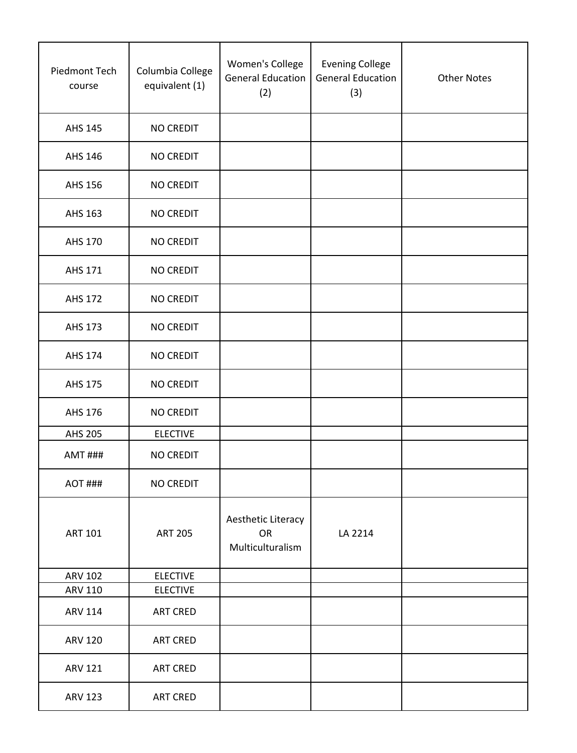| Piedmont Tech<br>course | Columbia College<br>equivalent (1) | Women's College<br><b>General Education</b><br>(2) | <b>Evening College</b><br><b>General Education</b><br>(3) | <b>Other Notes</b> |
|-------------------------|------------------------------------|----------------------------------------------------|-----------------------------------------------------------|--------------------|
| AHS 145                 | <b>NO CREDIT</b>                   |                                                    |                                                           |                    |
| AHS 146                 | <b>NO CREDIT</b>                   |                                                    |                                                           |                    |
| AHS 156                 | <b>NO CREDIT</b>                   |                                                    |                                                           |                    |
| AHS 163                 | <b>NO CREDIT</b>                   |                                                    |                                                           |                    |
| AHS 170                 | <b>NO CREDIT</b>                   |                                                    |                                                           |                    |
| AHS 171                 | <b>NO CREDIT</b>                   |                                                    |                                                           |                    |
| <b>AHS 172</b>          | <b>NO CREDIT</b>                   |                                                    |                                                           |                    |
| AHS 173                 | <b>NO CREDIT</b>                   |                                                    |                                                           |                    |
| <b>AHS 174</b>          | <b>NO CREDIT</b>                   |                                                    |                                                           |                    |
| AHS 175                 | <b>NO CREDIT</b>                   |                                                    |                                                           |                    |
| AHS 176                 | <b>NO CREDIT</b>                   |                                                    |                                                           |                    |
| <b>AHS 205</b>          | <b>ELECTIVE</b>                    |                                                    |                                                           |                    |
| <b>AMT ###</b>          | <b>NO CREDIT</b>                   |                                                    |                                                           |                    |
| AOT ###                 | <b>NO CREDIT</b>                   |                                                    |                                                           |                    |
| <b>ART 101</b>          | <b>ART 205</b>                     | Aesthetic Literacy<br>OR<br>Multiculturalism       | LA 2214                                                   |                    |
| <b>ARV 102</b>          | <b>ELECTIVE</b>                    |                                                    |                                                           |                    |
| <b>ARV 110</b>          | <b>ELECTIVE</b>                    |                                                    |                                                           |                    |
| <b>ARV 114</b>          | <b>ART CRED</b>                    |                                                    |                                                           |                    |
| <b>ARV 120</b>          | <b>ART CRED</b>                    |                                                    |                                                           |                    |
| <b>ARV 121</b>          | ART CRED                           |                                                    |                                                           |                    |
| <b>ARV 123</b>          | <b>ART CRED</b>                    |                                                    |                                                           |                    |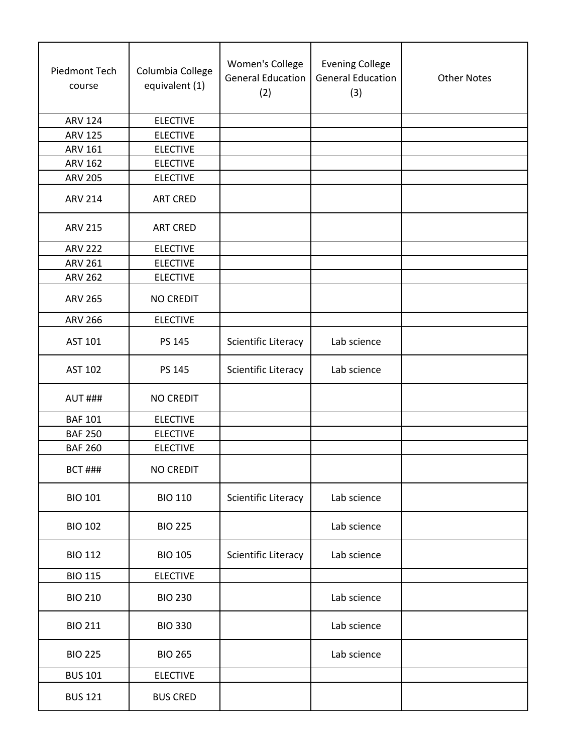| Piedmont Tech<br>course | Columbia College<br>equivalent (1) | Women's College<br><b>General Education</b><br>(2) | <b>Evening College</b><br><b>General Education</b><br>(3) | <b>Other Notes</b> |
|-------------------------|------------------------------------|----------------------------------------------------|-----------------------------------------------------------|--------------------|
| <b>ARV 124</b>          | <b>ELECTIVE</b>                    |                                                    |                                                           |                    |
| <b>ARV 125</b>          | <b>ELECTIVE</b>                    |                                                    |                                                           |                    |
| ARV 161                 | <b>ELECTIVE</b>                    |                                                    |                                                           |                    |
| <b>ARV 162</b>          | <b>ELECTIVE</b>                    |                                                    |                                                           |                    |
| <b>ARV 205</b>          | <b>ELECTIVE</b>                    |                                                    |                                                           |                    |
| <b>ARV 214</b>          | <b>ART CRED</b>                    |                                                    |                                                           |                    |
| <b>ARV 215</b>          | <b>ART CRED</b>                    |                                                    |                                                           |                    |
| <b>ARV 222</b>          | <b>ELECTIVE</b>                    |                                                    |                                                           |                    |
| <b>ARV 261</b>          | <b>ELECTIVE</b>                    |                                                    |                                                           |                    |
| <b>ARV 262</b>          | <b>ELECTIVE</b>                    |                                                    |                                                           |                    |
| <b>ARV 265</b>          | <b>NO CREDIT</b>                   |                                                    |                                                           |                    |
| <b>ARV 266</b>          | <b>ELECTIVE</b>                    |                                                    |                                                           |                    |
| AST 101                 | PS 145                             | Scientific Literacy                                | Lab science                                               |                    |
| <b>AST 102</b>          | PS 145                             | Scientific Literacy                                | Lab science                                               |                    |
| <b>AUT ###</b>          | <b>NO CREDIT</b>                   |                                                    |                                                           |                    |
| <b>BAF 101</b>          | <b>ELECTIVE</b>                    |                                                    |                                                           |                    |
| <b>BAF 250</b>          | <b>ELECTIVE</b>                    |                                                    |                                                           |                    |
| <b>BAF 260</b>          | <b>ELECTIVE</b>                    |                                                    |                                                           |                    |
| <b>BCT ###</b>          | <b>NO CREDIT</b>                   |                                                    |                                                           |                    |
| <b>BIO 101</b>          | <b>BIO 110</b>                     | <b>Scientific Literacy</b>                         | Lab science                                               |                    |
| <b>BIO 102</b>          | <b>BIO 225</b>                     |                                                    | Lab science                                               |                    |
| <b>BIO 112</b>          | <b>BIO 105</b>                     | Scientific Literacy                                | Lab science                                               |                    |
| <b>BIO 115</b>          | <b>ELECTIVE</b>                    |                                                    |                                                           |                    |
| <b>BIO 210</b>          | <b>BIO 230</b>                     |                                                    | Lab science                                               |                    |
| <b>BIO 211</b>          | <b>BIO 330</b>                     |                                                    | Lab science                                               |                    |
| <b>BIO 225</b>          | <b>BIO 265</b>                     |                                                    | Lab science                                               |                    |
| <b>BUS 101</b>          | <b>ELECTIVE</b>                    |                                                    |                                                           |                    |
| <b>BUS 121</b>          | <b>BUS CRED</b>                    |                                                    |                                                           |                    |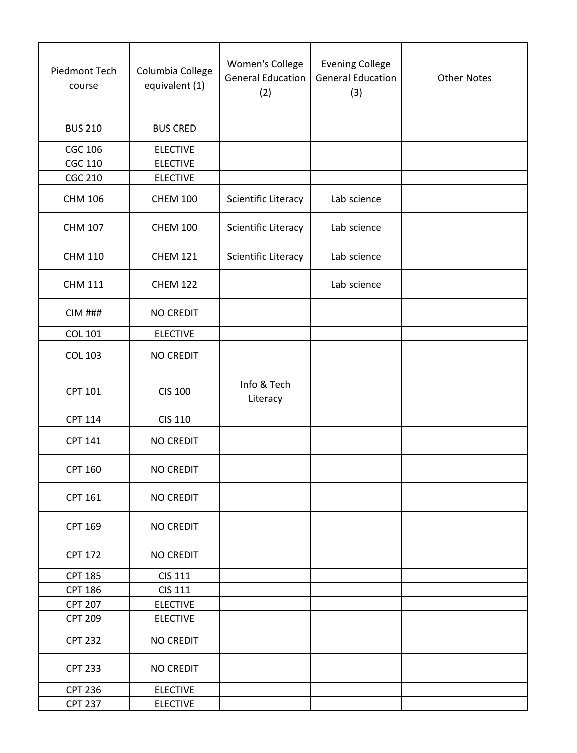| Piedmont Tech<br>course | Columbia College<br>equivalent (1) | Women's College<br><b>General Education</b><br>(2) | <b>Evening College</b><br><b>General Education</b><br>(3) | <b>Other Notes</b> |
|-------------------------|------------------------------------|----------------------------------------------------|-----------------------------------------------------------|--------------------|
| <b>BUS 210</b>          | <b>BUS CRED</b>                    |                                                    |                                                           |                    |
| <b>CGC 106</b>          | <b>ELECTIVE</b>                    |                                                    |                                                           |                    |
| <b>CGC 110</b>          | <b>ELECTIVE</b>                    |                                                    |                                                           |                    |
| <b>CGC 210</b>          | <b>ELECTIVE</b>                    |                                                    |                                                           |                    |
| <b>CHM 106</b>          | <b>CHEM 100</b>                    | Scientific Literacy                                | Lab science                                               |                    |
| <b>CHM 107</b>          | <b>CHEM 100</b>                    | Scientific Literacy                                | Lab science                                               |                    |
| <b>CHM 110</b>          | <b>CHEM 121</b>                    | Scientific Literacy                                | Lab science                                               |                    |
| <b>CHM 111</b>          | <b>CHEM 122</b>                    |                                                    | Lab science                                               |                    |
| $CIM$ ###               | <b>NO CREDIT</b>                   |                                                    |                                                           |                    |
| <b>COL 101</b>          | <b>ELECTIVE</b>                    |                                                    |                                                           |                    |
| <b>COL 103</b>          | <b>NO CREDIT</b>                   |                                                    |                                                           |                    |
| <b>CPT 101</b>          | <b>CIS 100</b>                     | Info & Tech<br>Literacy                            |                                                           |                    |
| <b>CPT 114</b>          | <b>CIS 110</b>                     |                                                    |                                                           |                    |
| <b>CPT 141</b>          | <b>NO CREDIT</b>                   |                                                    |                                                           |                    |
| <b>CPT 160</b>          | <b>NO CREDIT</b>                   |                                                    |                                                           |                    |
| <b>CPT 161</b>          | <b>NO CREDIT</b>                   |                                                    |                                                           |                    |
| <b>CPT 169</b>          | <b>NO CREDIT</b>                   |                                                    |                                                           |                    |
| <b>CPT 172</b>          | NO CREDIT                          |                                                    |                                                           |                    |
| <b>CPT 185</b>          | <b>CIS 111</b>                     |                                                    |                                                           |                    |
| <b>CPT 186</b>          | <b>CIS 111</b>                     |                                                    |                                                           |                    |
| <b>CPT 207</b>          | <b>ELECTIVE</b>                    |                                                    |                                                           |                    |
| <b>CPT 209</b>          | <b>ELECTIVE</b>                    |                                                    |                                                           |                    |
| <b>CPT 232</b>          | <b>NO CREDIT</b>                   |                                                    |                                                           |                    |
| <b>CPT 233</b>          | <b>NO CREDIT</b>                   |                                                    |                                                           |                    |
| <b>CPT 236</b>          | <b>ELECTIVE</b>                    |                                                    |                                                           |                    |
| <b>CPT 237</b>          | <b>ELECTIVE</b>                    |                                                    |                                                           |                    |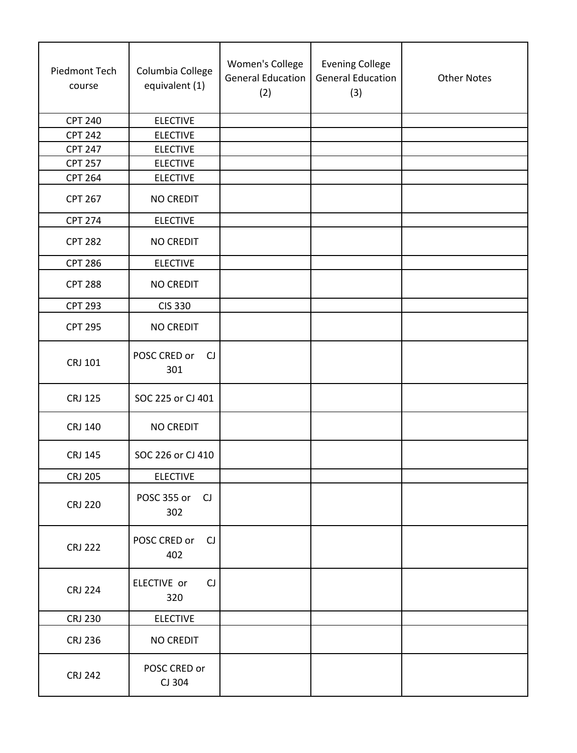| Piedmont Tech<br>course | Columbia College<br>equivalent (1) | Women's College<br><b>General Education</b><br>(2) | <b>Evening College</b><br><b>General Education</b><br>(3) | <b>Other Notes</b> |
|-------------------------|------------------------------------|----------------------------------------------------|-----------------------------------------------------------|--------------------|
| <b>CPT 240</b>          | <b>ELECTIVE</b>                    |                                                    |                                                           |                    |
| <b>CPT 242</b>          | <b>ELECTIVE</b>                    |                                                    |                                                           |                    |
| <b>CPT 247</b>          | <b>ELECTIVE</b>                    |                                                    |                                                           |                    |
| <b>CPT 257</b>          | <b>ELECTIVE</b>                    |                                                    |                                                           |                    |
| <b>CPT 264</b>          | <b>ELECTIVE</b>                    |                                                    |                                                           |                    |
| <b>CPT 267</b>          | <b>NO CREDIT</b>                   |                                                    |                                                           |                    |
| <b>CPT 274</b>          | <b>ELECTIVE</b>                    |                                                    |                                                           |                    |
| <b>CPT 282</b>          | <b>NO CREDIT</b>                   |                                                    |                                                           |                    |
| <b>CPT 286</b>          | <b>ELECTIVE</b>                    |                                                    |                                                           |                    |
| <b>CPT 288</b>          | <b>NO CREDIT</b>                   |                                                    |                                                           |                    |
| <b>CPT 293</b>          | <b>CIS 330</b>                     |                                                    |                                                           |                    |
| <b>CPT 295</b>          | <b>NO CREDIT</b>                   |                                                    |                                                           |                    |
| CRJ 101                 | POSC CRED or<br>CJ<br>301          |                                                    |                                                           |                    |
| <b>CRJ 125</b>          | SOC 225 or CJ 401                  |                                                    |                                                           |                    |
| <b>CRJ 140</b>          | <b>NO CREDIT</b>                   |                                                    |                                                           |                    |
| <b>CRJ 145</b>          | SOC 226 or CJ 410                  |                                                    |                                                           |                    |
| <b>CRJ 205</b>          | <b>ELECTIVE</b>                    |                                                    |                                                           |                    |
| <b>CRJ 220</b>          | POSC 355 or<br>CJ<br>302           |                                                    |                                                           |                    |
| <b>CRJ 222</b>          | POSC CRED or<br>CJ<br>402          |                                                    |                                                           |                    |
| <b>CRJ 224</b>          | ELECTIVE or<br>CJ<br>320           |                                                    |                                                           |                    |
| <b>CRJ 230</b>          | <b>ELECTIVE</b>                    |                                                    |                                                           |                    |
| <b>CRJ 236</b>          | <b>NO CREDIT</b>                   |                                                    |                                                           |                    |
| <b>CRJ 242</b>          | POSC CRED or<br>CJ 304             |                                                    |                                                           |                    |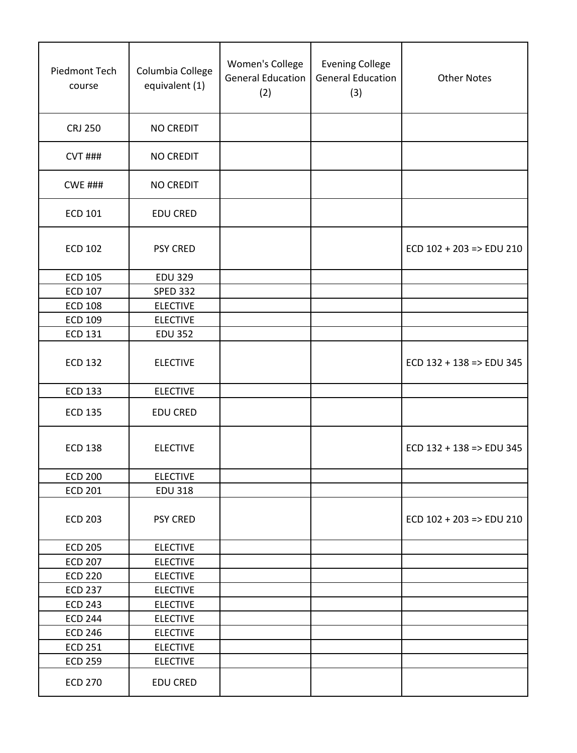| Piedmont Tech<br>course | Columbia College<br>equivalent (1) | Women's College<br><b>General Education</b><br>(2) | <b>Evening College</b><br><b>General Education</b><br>(3) | <b>Other Notes</b>                  |
|-------------------------|------------------------------------|----------------------------------------------------|-----------------------------------------------------------|-------------------------------------|
| <b>CRJ 250</b>          | <b>NO CREDIT</b>                   |                                                    |                                                           |                                     |
| <b>CVT ###</b>          | <b>NO CREDIT</b>                   |                                                    |                                                           |                                     |
| <b>CWE ###</b>          | <b>NO CREDIT</b>                   |                                                    |                                                           |                                     |
| <b>ECD 101</b>          | <b>EDU CRED</b>                    |                                                    |                                                           |                                     |
| <b>ECD 102</b>          | <b>PSY CRED</b>                    |                                                    |                                                           | $ECD$ 102 + 203 => $EDU$ 210        |
| <b>ECD 105</b>          | <b>EDU 329</b>                     |                                                    |                                                           |                                     |
| <b>ECD 107</b>          | <b>SPED 332</b>                    |                                                    |                                                           |                                     |
| <b>ECD 108</b>          | <b>ELECTIVE</b>                    |                                                    |                                                           |                                     |
| <b>ECD 109</b>          | <b>ELECTIVE</b>                    |                                                    |                                                           |                                     |
| <b>ECD 131</b>          | <b>EDU 352</b>                     |                                                    |                                                           |                                     |
| <b>ECD 132</b>          | <b>ELECTIVE</b>                    |                                                    |                                                           | $ECD$ 132 + 138 => $EDU$ 345        |
| <b>ECD 133</b>          | <b>ELECTIVE</b>                    |                                                    |                                                           |                                     |
| <b>ECD 135</b>          | <b>EDU CRED</b>                    |                                                    |                                                           |                                     |
| <b>ECD 138</b>          | <b>ELECTIVE</b>                    |                                                    |                                                           | ECD $132 + 138 \Rightarrow$ EDU 345 |
| <b>ECD 200</b>          | <b>ELECTIVE</b>                    |                                                    |                                                           |                                     |
| <b>ECD 201</b>          | <b>EDU 318</b>                     |                                                    |                                                           |                                     |
| <b>ECD 203</b>          | <b>PSY CRED</b>                    |                                                    |                                                           | $ECD$ 102 + 203 => $EDU$ 210        |
| <b>ECD 205</b>          | <b>ELECTIVE</b>                    |                                                    |                                                           |                                     |
| <b>ECD 207</b>          | <b>ELECTIVE</b>                    |                                                    |                                                           |                                     |
| <b>ECD 220</b>          | <b>ELECTIVE</b>                    |                                                    |                                                           |                                     |
| <b>ECD 237</b>          | <b>ELECTIVE</b>                    |                                                    |                                                           |                                     |
| <b>ECD 243</b>          | <b>ELECTIVE</b>                    |                                                    |                                                           |                                     |
| <b>ECD 244</b>          | <b>ELECTIVE</b>                    |                                                    |                                                           |                                     |
| <b>ECD 246</b>          | <b>ELECTIVE</b>                    |                                                    |                                                           |                                     |
| <b>ECD 251</b>          | <b>ELECTIVE</b>                    |                                                    |                                                           |                                     |
| <b>ECD 259</b>          | <b>ELECTIVE</b>                    |                                                    |                                                           |                                     |
| <b>ECD 270</b>          | <b>EDU CRED</b>                    |                                                    |                                                           |                                     |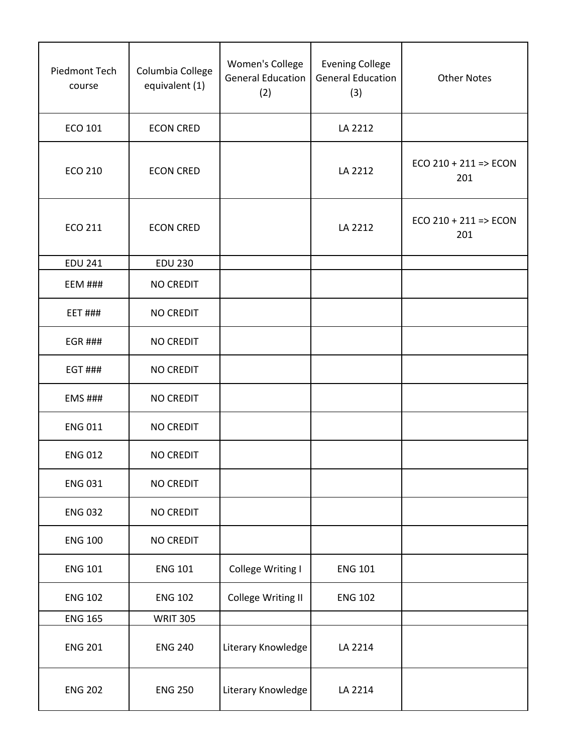| Piedmont Tech<br>course | Columbia College<br>equivalent (1) | Women's College<br><b>General Education</b><br>(2) | <b>Evening College</b><br><b>General Education</b><br>(3) | <b>Other Notes</b>               |
|-------------------------|------------------------------------|----------------------------------------------------|-----------------------------------------------------------|----------------------------------|
| ECO 101                 | <b>ECON CRED</b>                   |                                                    | LA 2212                                                   |                                  |
| <b>ECO 210</b>          | <b>ECON CRED</b>                   |                                                    | LA 2212                                                   | $ECO$ 210 + 211 => $ECON$<br>201 |
| <b>ECO 211</b>          | <b>ECON CRED</b>                   |                                                    | LA 2212                                                   | $ECO 210 + 211 => ECON$<br>201   |
| <b>EDU 241</b>          | <b>EDU 230</b>                     |                                                    |                                                           |                                  |
| <b>EEM ###</b>          | <b>NO CREDIT</b>                   |                                                    |                                                           |                                  |
| <b>EET ###</b>          | <b>NO CREDIT</b>                   |                                                    |                                                           |                                  |
| <b>EGR ###</b>          | <b>NO CREDIT</b>                   |                                                    |                                                           |                                  |
| <b>EGT ###</b>          | <b>NO CREDIT</b>                   |                                                    |                                                           |                                  |
| <b>EMS ###</b>          | <b>NO CREDIT</b>                   |                                                    |                                                           |                                  |
| <b>ENG 011</b>          | <b>NO CREDIT</b>                   |                                                    |                                                           |                                  |
| <b>ENG 012</b>          | <b>NO CREDIT</b>                   |                                                    |                                                           |                                  |
| <b>ENG 031</b>          | <b>NO CREDIT</b>                   |                                                    |                                                           |                                  |
| <b>ENG 032</b>          | <b>NO CREDIT</b>                   |                                                    |                                                           |                                  |
| <b>ENG 100</b>          | <b>NO CREDIT</b>                   |                                                    |                                                           |                                  |
| <b>ENG 101</b>          | <b>ENG 101</b>                     | College Writing I                                  | <b>ENG 101</b>                                            |                                  |
| <b>ENG 102</b>          | <b>ENG 102</b>                     | College Writing II                                 | <b>ENG 102</b>                                            |                                  |
| <b>ENG 165</b>          | <b>WRIT 305</b>                    |                                                    |                                                           |                                  |
| <b>ENG 201</b>          | <b>ENG 240</b>                     | Literary Knowledge                                 | LA 2214                                                   |                                  |
| <b>ENG 202</b>          | <b>ENG 250</b>                     | Literary Knowledge                                 | LA 2214                                                   |                                  |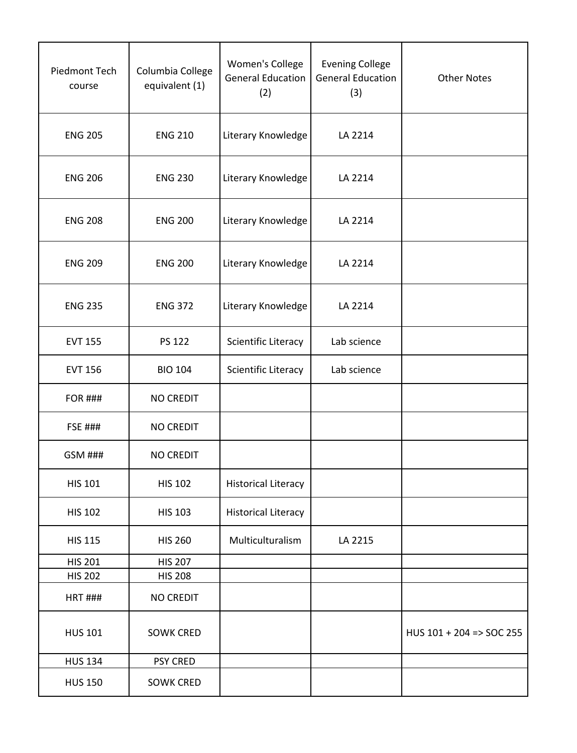| Piedmont Tech<br>course | Columbia College<br>equivalent (1) | Women's College<br><b>General Education</b><br>(2) | <b>Evening College</b><br><b>General Education</b><br>(3) | <b>Other Notes</b>                  |
|-------------------------|------------------------------------|----------------------------------------------------|-----------------------------------------------------------|-------------------------------------|
| <b>ENG 205</b>          | <b>ENG 210</b>                     | Literary Knowledge                                 | LA 2214                                                   |                                     |
| <b>ENG 206</b>          | <b>ENG 230</b>                     | Literary Knowledge                                 | LA 2214                                                   |                                     |
| <b>ENG 208</b>          | <b>ENG 200</b>                     | Literary Knowledge                                 | LA 2214                                                   |                                     |
| <b>ENG 209</b>          | <b>ENG 200</b>                     | Literary Knowledge                                 | LA 2214                                                   |                                     |
| <b>ENG 235</b>          | <b>ENG 372</b>                     | Literary Knowledge                                 | LA 2214                                                   |                                     |
| <b>EVT 155</b>          | <b>PS 122</b>                      | Scientific Literacy                                | Lab science                                               |                                     |
| <b>EVT 156</b>          | <b>BIO 104</b>                     | Scientific Literacy                                | Lab science                                               |                                     |
| <b>FOR ###</b>          | <b>NO CREDIT</b>                   |                                                    |                                                           |                                     |
| <b>FSE ###</b>          | <b>NO CREDIT</b>                   |                                                    |                                                           |                                     |
| <b>GSM ###</b>          | <b>NO CREDIT</b>                   |                                                    |                                                           |                                     |
| <b>HIS 101</b>          | <b>HIS 102</b>                     | <b>Historical Literacy</b>                         |                                                           |                                     |
| <b>HIS 102</b>          | <b>HIS 103</b>                     | <b>Historical Literacy</b>                         |                                                           |                                     |
| <b>HIS 115</b>          | <b>HIS 260</b>                     | Multiculturalism                                   | LA 2215                                                   |                                     |
| <b>HIS 201</b>          | <b>HIS 207</b>                     |                                                    |                                                           |                                     |
| <b>HIS 202</b>          | <b>HIS 208</b>                     |                                                    |                                                           |                                     |
| <b>HRT ###</b>          | <b>NO CREDIT</b>                   |                                                    |                                                           |                                     |
| <b>HUS 101</b>          | <b>SOWK CRED</b>                   |                                                    |                                                           | HUS $101 + 204 \Rightarrow$ SOC 255 |
| <b>HUS 134</b>          | <b>PSY CRED</b>                    |                                                    |                                                           |                                     |
| <b>HUS 150</b>          | <b>SOWK CRED</b>                   |                                                    |                                                           |                                     |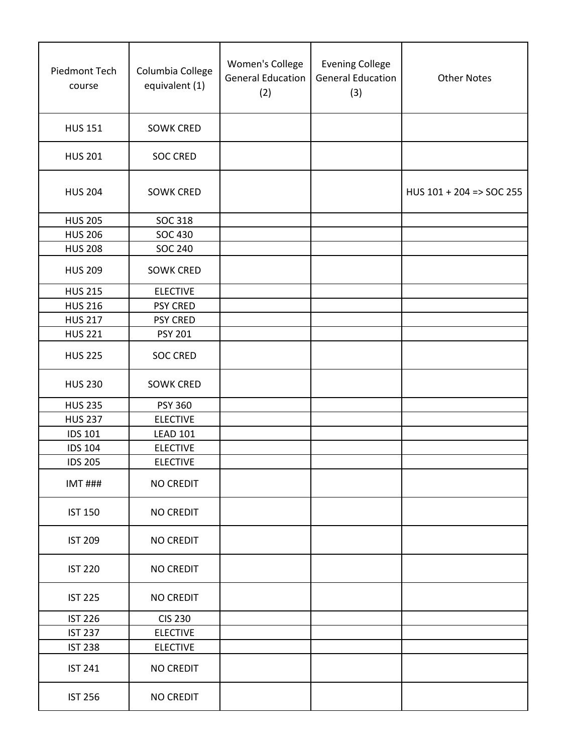| Piedmont Tech<br>course | Columbia College<br>equivalent (1) | Women's College<br><b>General Education</b><br>(2) | <b>Evening College</b><br><b>General Education</b><br>(3) | <b>Other Notes</b>       |
|-------------------------|------------------------------------|----------------------------------------------------|-----------------------------------------------------------|--------------------------|
| <b>HUS 151</b>          | <b>SOWK CRED</b>                   |                                                    |                                                           |                          |
| <b>HUS 201</b>          | <b>SOC CRED</b>                    |                                                    |                                                           |                          |
| <b>HUS 204</b>          | <b>SOWK CRED</b>                   |                                                    |                                                           | HUS 101 + 204 => SOC 255 |
| <b>HUS 205</b>          | SOC 318                            |                                                    |                                                           |                          |
| <b>HUS 206</b>          | SOC 430                            |                                                    |                                                           |                          |
| <b>HUS 208</b>          | <b>SOC 240</b>                     |                                                    |                                                           |                          |
| <b>HUS 209</b>          | <b>SOWK CRED</b>                   |                                                    |                                                           |                          |
| <b>HUS 215</b>          | <b>ELECTIVE</b>                    |                                                    |                                                           |                          |
| <b>HUS 216</b>          | <b>PSY CRED</b>                    |                                                    |                                                           |                          |
| <b>HUS 217</b>          | <b>PSY CRED</b>                    |                                                    |                                                           |                          |
| <b>HUS 221</b>          | <b>PSY 201</b>                     |                                                    |                                                           |                          |
| <b>HUS 225</b>          | <b>SOC CRED</b>                    |                                                    |                                                           |                          |
| <b>HUS 230</b>          | <b>SOWK CRED</b>                   |                                                    |                                                           |                          |
| <b>HUS 235</b>          | <b>PSY 360</b>                     |                                                    |                                                           |                          |
| <b>HUS 237</b>          | <b>ELECTIVE</b>                    |                                                    |                                                           |                          |
| <b>IDS 101</b>          | <b>LEAD 101</b>                    |                                                    |                                                           |                          |
| <b>IDS 104</b>          | <b>ELECTIVE</b>                    |                                                    |                                                           |                          |
| <b>IDS 205</b>          | <b>ELECTIVE</b>                    |                                                    |                                                           |                          |
| <b>IMT ###</b>          | NO CREDIT                          |                                                    |                                                           |                          |
| <b>IST 150</b>          | <b>NO CREDIT</b>                   |                                                    |                                                           |                          |
| <b>IST 209</b>          | <b>NO CREDIT</b>                   |                                                    |                                                           |                          |
| <b>IST 220</b>          | <b>NO CREDIT</b>                   |                                                    |                                                           |                          |
| <b>IST 225</b>          | <b>NO CREDIT</b>                   |                                                    |                                                           |                          |
| <b>IST 226</b>          | <b>CIS 230</b>                     |                                                    |                                                           |                          |
| <b>IST 237</b>          | <b>ELECTIVE</b>                    |                                                    |                                                           |                          |
| <b>IST 238</b>          | <b>ELECTIVE</b>                    |                                                    |                                                           |                          |
| <b>IST 241</b>          | <b>NO CREDIT</b>                   |                                                    |                                                           |                          |
| <b>IST 256</b>          | <b>NO CREDIT</b>                   |                                                    |                                                           |                          |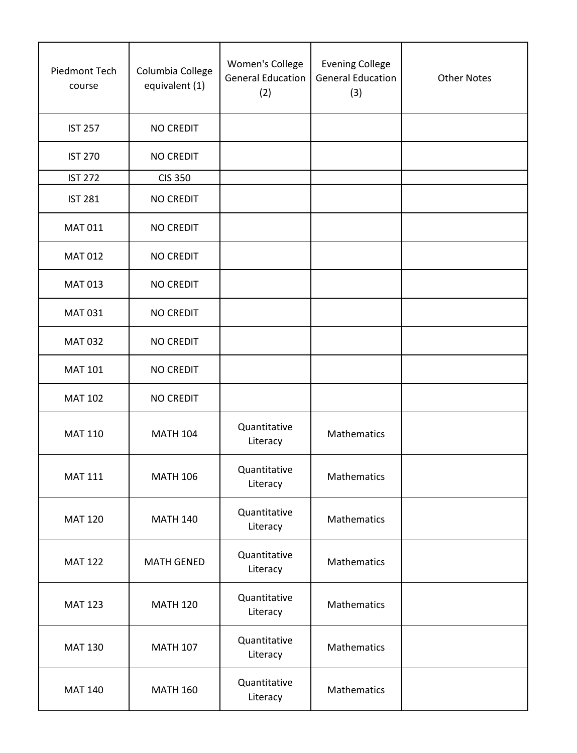| Piedmont Tech<br>course | Columbia College<br>equivalent (1) | Women's College<br><b>General Education</b><br>(2) | <b>Evening College</b><br><b>General Education</b><br>(3) | <b>Other Notes</b> |
|-------------------------|------------------------------------|----------------------------------------------------|-----------------------------------------------------------|--------------------|
| <b>IST 257</b>          | <b>NO CREDIT</b>                   |                                                    |                                                           |                    |
| <b>IST 270</b>          | <b>NO CREDIT</b>                   |                                                    |                                                           |                    |
| <b>IST 272</b>          | <b>CIS 350</b>                     |                                                    |                                                           |                    |
| <b>IST 281</b>          | <b>NO CREDIT</b>                   |                                                    |                                                           |                    |
| <b>MAT 011</b>          | <b>NO CREDIT</b>                   |                                                    |                                                           |                    |
| <b>MAT 012</b>          | <b>NO CREDIT</b>                   |                                                    |                                                           |                    |
| <b>MAT 013</b>          | <b>NO CREDIT</b>                   |                                                    |                                                           |                    |
| <b>MAT 031</b>          | <b>NO CREDIT</b>                   |                                                    |                                                           |                    |
| <b>MAT 032</b>          | <b>NO CREDIT</b>                   |                                                    |                                                           |                    |
| <b>MAT 101</b>          | <b>NO CREDIT</b>                   |                                                    |                                                           |                    |
| <b>MAT 102</b>          | <b>NO CREDIT</b>                   |                                                    |                                                           |                    |
| <b>MAT 110</b>          | <b>MATH 104</b>                    | Quantitative<br>Literacy                           | Mathematics                                               |                    |
| <b>MAT 111</b>          | <b>MATH 106</b>                    | Quantitative<br>Literacy                           | Mathematics                                               |                    |
| <b>MAT 120</b>          | <b>MATH 140</b>                    | Quantitative<br>Literacy                           | Mathematics                                               |                    |
| <b>MAT 122</b>          | <b>MATH GENED</b>                  | Quantitative<br>Literacy                           | Mathematics                                               |                    |
| <b>MAT 123</b>          | <b>MATH 120</b>                    | Quantitative<br>Literacy                           | Mathematics                                               |                    |
| <b>MAT 130</b>          | <b>MATH 107</b>                    | Quantitative<br>Literacy                           | Mathematics                                               |                    |
| <b>MAT 140</b>          | <b>MATH 160</b>                    | Quantitative<br>Literacy                           | Mathematics                                               |                    |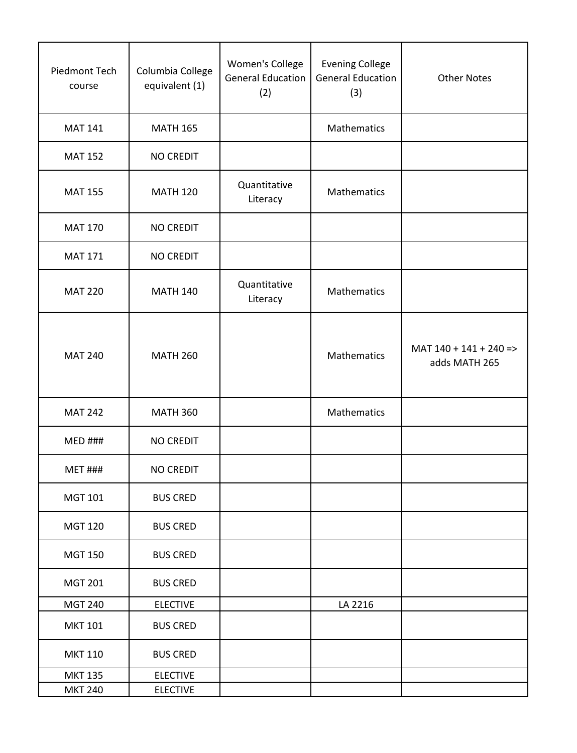| Piedmont Tech<br>course | Columbia College<br>equivalent (1) | Women's College<br><b>General Education</b><br>(2) | <b>Evening College</b><br><b>General Education</b><br>(3) | <b>Other Notes</b>                         |
|-------------------------|------------------------------------|----------------------------------------------------|-----------------------------------------------------------|--------------------------------------------|
| <b>MAT 141</b>          | <b>MATH 165</b>                    |                                                    | Mathematics                                               |                                            |
| <b>MAT 152</b>          | <b>NO CREDIT</b>                   |                                                    |                                                           |                                            |
| <b>MAT 155</b>          | <b>MATH 120</b>                    | Quantitative<br>Literacy                           | Mathematics                                               |                                            |
| <b>MAT 170</b>          | <b>NO CREDIT</b>                   |                                                    |                                                           |                                            |
| <b>MAT 171</b>          | <b>NO CREDIT</b>                   |                                                    |                                                           |                                            |
| <b>MAT 220</b>          | <b>MATH 140</b>                    | Quantitative<br>Literacy                           | Mathematics                                               |                                            |
| <b>MAT 240</b>          | <b>MATH 260</b>                    |                                                    | Mathematics                                               | $MAT 140 + 141 + 240 = >$<br>adds MATH 265 |
| <b>MAT 242</b>          | <b>MATH 360</b>                    |                                                    | Mathematics                                               |                                            |
| <b>MED ###</b>          | <b>NO CREDIT</b>                   |                                                    |                                                           |                                            |
| <b>MET ###</b>          | <b>NO CREDIT</b>                   |                                                    |                                                           |                                            |
| <b>MGT 101</b>          | <b>BUS CRED</b>                    |                                                    |                                                           |                                            |
| <b>MGT 120</b>          | <b>BUS CRED</b>                    |                                                    |                                                           |                                            |
| <b>MGT 150</b>          | <b>BUS CRED</b>                    |                                                    |                                                           |                                            |
| <b>MGT 201</b>          | <b>BUS CRED</b>                    |                                                    |                                                           |                                            |
| <b>MGT 240</b>          | <b>ELECTIVE</b>                    |                                                    | LA 2216                                                   |                                            |
| <b>MKT 101</b>          | <b>BUS CRED</b>                    |                                                    |                                                           |                                            |
| <b>MKT 110</b>          | <b>BUS CRED</b>                    |                                                    |                                                           |                                            |
| <b>MKT 135</b>          | <b>ELECTIVE</b>                    |                                                    |                                                           |                                            |
| <b>MKT 240</b>          | <b>ELECTIVE</b>                    |                                                    |                                                           |                                            |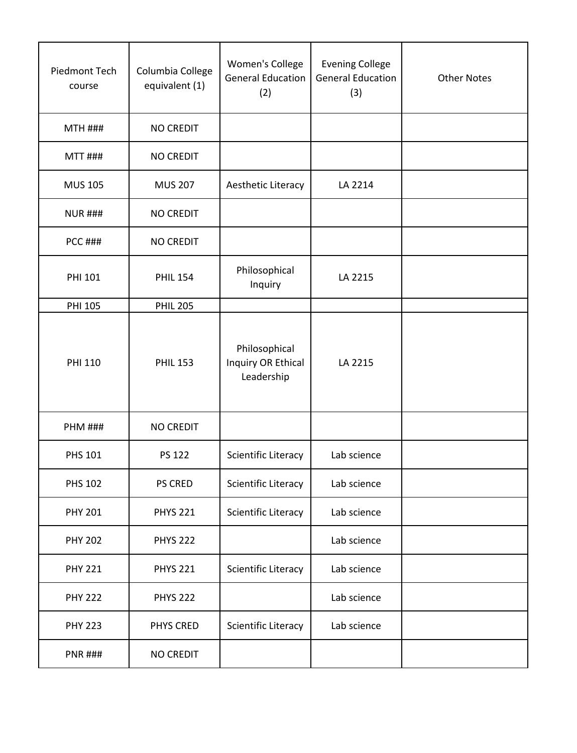| Piedmont Tech  | Columbia College | Women's College                                   | <b>Evening College</b><br><b>General Education</b> |                    |
|----------------|------------------|---------------------------------------------------|----------------------------------------------------|--------------------|
| course         | equivalent (1)   | <b>General Education</b><br>(2)                   | (3)                                                | <b>Other Notes</b> |
| <b>MTH ###</b> | <b>NO CREDIT</b> |                                                   |                                                    |                    |
| <b>MTT ###</b> | <b>NO CREDIT</b> |                                                   |                                                    |                    |
| <b>MUS 105</b> | <b>MUS 207</b>   | Aesthetic Literacy                                | LA 2214                                            |                    |
| <b>NUR ###</b> | <b>NO CREDIT</b> |                                                   |                                                    |                    |
| <b>PCC ###</b> | <b>NO CREDIT</b> |                                                   |                                                    |                    |
| PHI 101        | <b>PHIL 154</b>  | Philosophical<br>Inquiry                          | LA 2215                                            |                    |
| <b>PHI 105</b> | <b>PHIL 205</b>  |                                                   |                                                    |                    |
| <b>PHI 110</b> | <b>PHIL 153</b>  | Philosophical<br>Inquiry OR Ethical<br>Leadership | LA 2215                                            |                    |
| <b>PHM ###</b> | <b>NO CREDIT</b> |                                                   |                                                    |                    |
| <b>PHS 101</b> | <b>PS 122</b>    | Scientific Literacy                               | Lab science                                        |                    |
| <b>PHS 102</b> | PS CRED          | Scientific Literacy                               | Lab science                                        |                    |
| <b>PHY 201</b> | <b>PHYS 221</b>  | Scientific Literacy                               | Lab science                                        |                    |
| <b>PHY 202</b> | <b>PHYS 222</b>  |                                                   | Lab science                                        |                    |
| <b>PHY 221</b> | <b>PHYS 221</b>  | Scientific Literacy                               | Lab science                                        |                    |
| <b>PHY 222</b> | <b>PHYS 222</b>  |                                                   | Lab science                                        |                    |
| <b>PHY 223</b> | PHYS CRED        | Scientific Literacy                               | Lab science                                        |                    |
| <b>PNR ###</b> | <b>NO CREDIT</b> |                                                   |                                                    |                    |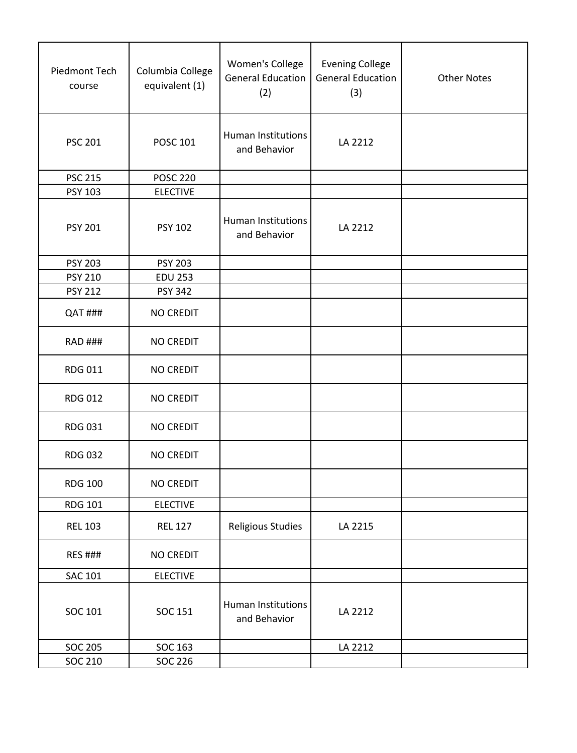| Piedmont Tech  | Columbia College<br>equivalent (1) | Women's College<br><b>General Education</b><br>(2)                                       | <b>Evening College</b><br><b>General Education</b><br>(3) | <b>Other Notes</b> |
|----------------|------------------------------------|------------------------------------------------------------------------------------------|-----------------------------------------------------------|--------------------|
| <b>PSC 201</b> | POSC 101                           | <b>Human Institutions</b><br>and Behavior                                                | LA 2212                                                   |                    |
| <b>PSC 215</b> |                                    |                                                                                          |                                                           |                    |
| PSY 103        |                                    |                                                                                          |                                                           |                    |
| <b>PSY 201</b> | PSY 102                            | <b>Human Institutions</b><br>and Behavior                                                | LA 2212                                                   |                    |
| <b>PSY 203</b> |                                    |                                                                                          |                                                           |                    |
| <b>PSY 210</b> |                                    |                                                                                          |                                                           |                    |
| <b>PSY 212</b> |                                    |                                                                                          |                                                           |                    |
| QAT ###        | <b>NO CREDIT</b>                   |                                                                                          |                                                           |                    |
| <b>RAD ###</b> | <b>NO CREDIT</b>                   |                                                                                          |                                                           |                    |
| <b>RDG 011</b> | <b>NO CREDIT</b>                   |                                                                                          |                                                           |                    |
| <b>RDG 012</b> | <b>NO CREDIT</b>                   |                                                                                          |                                                           |                    |
| <b>RDG 031</b> | <b>NO CREDIT</b>                   |                                                                                          |                                                           |                    |
| <b>RDG 032</b> | <b>NO CREDIT</b>                   |                                                                                          |                                                           |                    |
| <b>RDG 100</b> | <b>NO CREDIT</b>                   |                                                                                          |                                                           |                    |
| <b>RDG 101</b> | <b>ELECTIVE</b>                    |                                                                                          |                                                           |                    |
| <b>REL 103</b> | <b>REL 127</b>                     | <b>Religious Studies</b>                                                                 | LA 2215                                                   |                    |
| <b>RES ###</b> | <b>NO CREDIT</b>                   |                                                                                          |                                                           |                    |
| <b>SAC 101</b> | <b>ELECTIVE</b>                    |                                                                                          |                                                           |                    |
| SOC 101        | SOC 151                            | Human Institutions<br>and Behavior                                                       | LA 2212                                                   |                    |
| <b>SOC 205</b> | SOC 163                            |                                                                                          | LA 2212                                                   |                    |
| SOC 210        | <b>SOC 226</b>                     |                                                                                          |                                                           |                    |
|                |                                    | <b>POSC 220</b><br><b>ELECTIVE</b><br><b>PSY 203</b><br><b>EDU 253</b><br><b>PSY 342</b> |                                                           |                    |